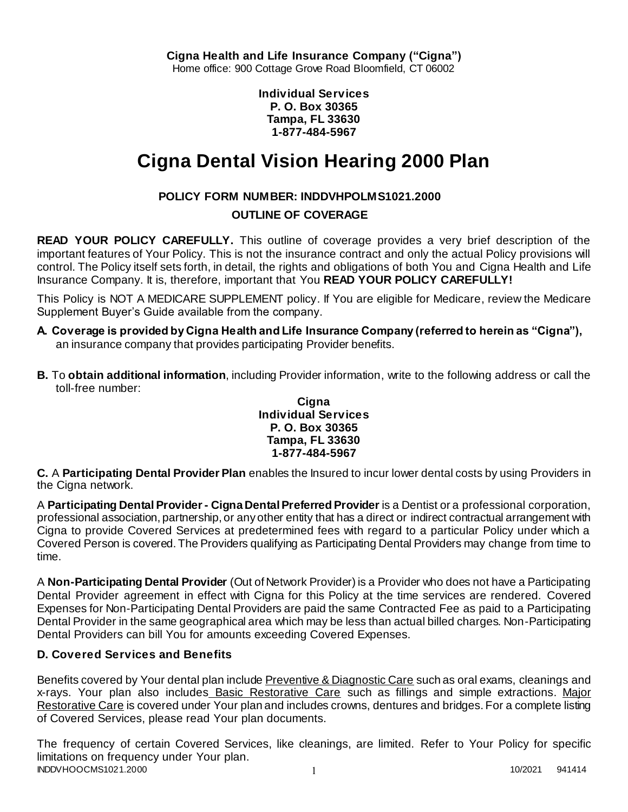**Individual Services P. O. Box 30365 Tampa, FL 33630 1-877-484-5967**

# **Cigna Dental Vision Hearing 2000 Plan**

# **POLICY FORM NUMBER: INDDVHPOLMS1021.2000**

# **OUTLINE OF COVERAGE**

**READ YOUR POLICY CAREFULLY.** This outline of coverage provides a very brief description of the important features of Your Policy. This is not the insurance contract and only the actual Policy provisions will control. The Policy itself sets forth, in detail, the rights and obligations of both You and Cigna Health and Life Insurance Company. It is, therefore, important that You **READ YOUR POLICY CAREFULLY!** 

This Policy is NOT A MEDICARE SUPPLEMENT policy. If You are eligible for Medicare, review the Medicare Supplement Buyer's Guide available from the company.

- **A. Coverage is provided by Cigna Health and Life Insurance Company (referred to herein as "Cigna"),**  an insurance company that provides participating Provider benefits.
- **B.** To **obtain additional information**, including Provider information, write to the following address or call the toll-free number:

### **Cigna Individual Services P. O. Box 30365 Tampa, FL 33630 1-877-484-5967**

**C.** A **Participating Dental Provider Plan** enables the Insured to incur lower dental costs by using Providers in the Cigna network.

A **Participating Dental Provider - Cigna Dental Preferred Provider** is a Dentist or a professional corporation, professional association, partnership, or any other entity that has a direct or indirect contractual arrangement with Cigna to provide Covered Services at predetermined fees with regard to a particular Policy under which a Covered Person is covered. The Providers qualifying as Participating Dental Providers may change from time to time.

A **Non-Participating Dental Provider** (Out of Network Provider) is a Provider who does not have a Participating Dental Provider agreement in effect with Cigna for this Policy at the time services are rendered. Covered Expenses for Non-Participating Dental Providers are paid the same Contracted Fee as paid to a Participating Dental Provider in the same geographical area which may be less than actual billed charges. Non-Participating Dental Providers can bill You for amounts exceeding Covered Expenses.

# **D. Covered Services and Benefits**

Benefits covered by Your dental plan include Preventive & Diagnostic Care such as oral exams, cleanings and x-rays. Your plan also includes Basic Restorative Care such as fillings and simple extractions. Major Restorative Care is covered under Your plan and includes crowns, dentures and bridges. For a complete listing of Covered Services, please read Your plan documents.

INDDVHOOCMS1021.2000 1 2000 1 2000 1 2000 1 2000 1 2000 1 2000 1 2000 1 2000 1 2000 1 2000 1 2000 1 2000 1 200 The frequency of certain Covered Services, like cleanings, are limited. Refer to Your Policy for specific limitations on frequency under Your plan.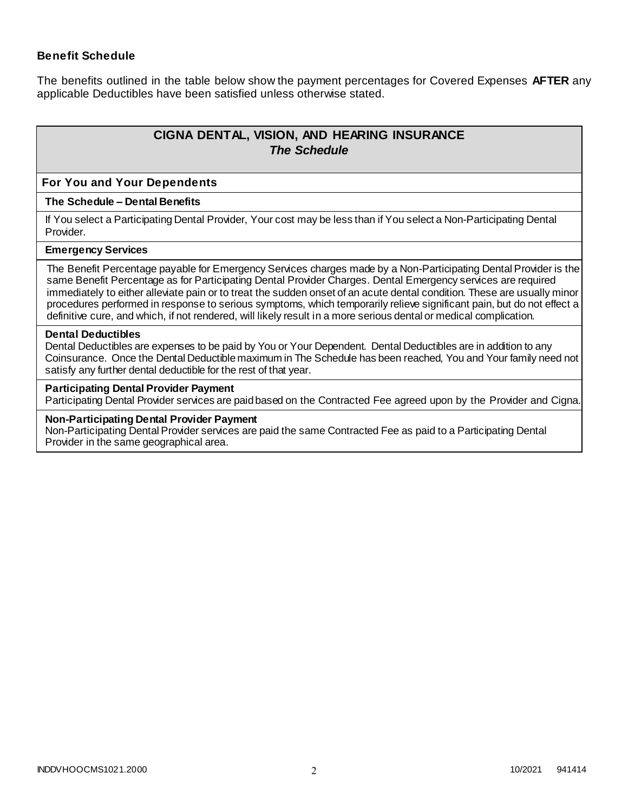### **Benefit Schedule**

The benefits outlined in the table below show the payment percentages for Covered Expenses **AFTER** any applicable Deductibles have been satisfied unless otherwise stated.

# **CIGNA DENTAL, VISION, AND HEARING INSURANCE** *The Schedule*

#### **For You and Your Dependents**

#### **The Schedule – Dental Benefits**

If You select a Participating Dental Provider, Your cost may be less than if You select a Non-Participating Dental Provider.

#### **Emergency Services**

The Benefit Percentage payable for Emergency Services charges made by a Non-Participating Dental Provider is the same Benefit Percentage as for Participating Dental Provider Charges. Dental Emergency services are required immediately to either alleviate pain or to treat the sudden onset of an acute dental condition. These are usually minor procedures performed in response to serious symptoms, which temporarily relieve significant pain, but do not effect a definitive cure, and which, if not rendered, will likely result in a more serious dental or medical complication.

#### **Dental Deductibles**

Dental Deductibles are expenses to be paid by You or Your Dependent. Dental Deductibles are in addition to any Coinsurance. Once the Dental Deductible maximum in The Schedule has been reached, You and Your family need not satisfy any further dental deductible for the rest of that year.

#### **Participating Dental Provider Payment**

Participating Dental Provider services are paid based on the Contracted Fee agreed upon by the Provider and Cigna.

#### **Non-Participating Dental Provider Payment**

Non-Participating Dental Provider services are paid the same Contracted Fee as paid to a Participating Dental Provider in the same geographical area.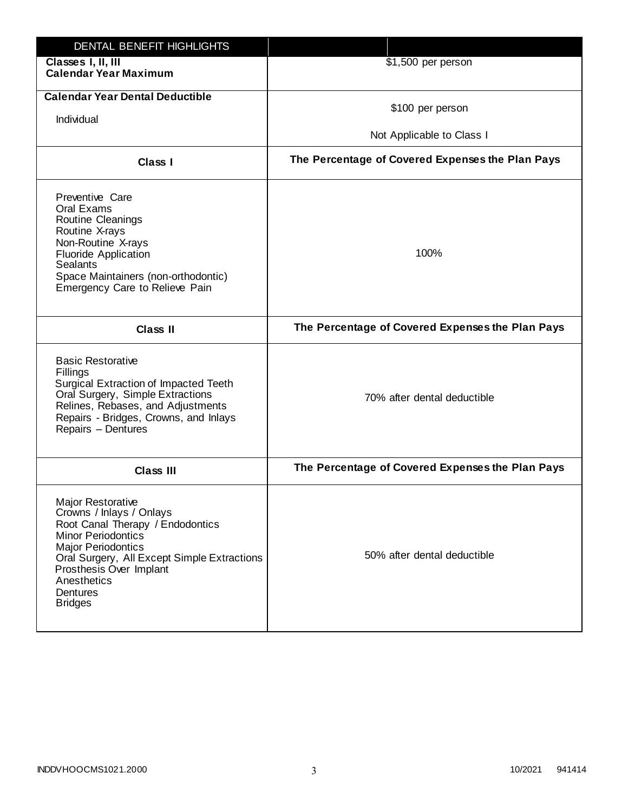| DENTAL BENEFIT HIGHLIGHTS                                                                                                                                                                                                                                                 |                                                  |
|---------------------------------------------------------------------------------------------------------------------------------------------------------------------------------------------------------------------------------------------------------------------------|--------------------------------------------------|
| Classes I, II, III<br><b>Calendar Year Maximum</b>                                                                                                                                                                                                                        | \$1,500 per person                               |
| <b>Calendar Year Dental Deductible</b><br>Individual                                                                                                                                                                                                                      | \$100 per person<br>Not Applicable to Class I    |
| Class I                                                                                                                                                                                                                                                                   | The Percentage of Covered Expenses the Plan Pays |
| Preventive Care<br>Oral Exams<br>Routine Cleanings<br>Routine X-rays<br>Non-Routine X-rays<br><b>Fluoride Application</b><br><b>Sealants</b><br>Space Maintainers (non-orthodontic)<br>Emergency Care to Relieve Pain                                                     | 100%                                             |
| <b>Class II</b>                                                                                                                                                                                                                                                           | The Percentage of Covered Expenses the Plan Pays |
| <b>Basic Restorative</b><br>Fillings<br>Surgical Extraction of Impacted Teeth<br>Oral Surgery, Simple Extractions<br>Relines, Rebases, and Adjustments<br>Repairs - Bridges, Crowns, and Inlays<br>Repairs - Dentures                                                     | 70% after dental deductible                      |
| <b>Class III</b>                                                                                                                                                                                                                                                          | The Percentage of Covered Expenses the Plan Pays |
| <b>Major Restorative</b><br>Crowns / Inlays / Onlays<br>Root Canal Therapy / Endodontics<br><b>Minor Periodontics</b><br><b>Major Periodontics</b><br>Oral Surgery, All Except Simple Extractions<br>Prosthesis Over Implant<br>Anesthetics<br>Dentures<br><b>Bridges</b> | 50% after dental deductible                      |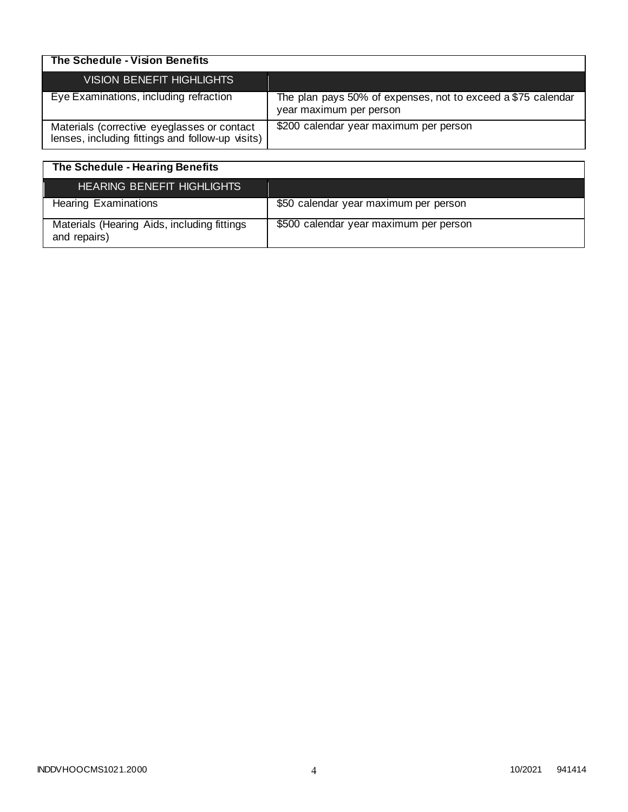| The Schedule - Vision Benefits                                                                  |                                                                                         |
|-------------------------------------------------------------------------------------------------|-----------------------------------------------------------------------------------------|
| <b>VISION BENEFIT HIGHLIGHTS</b>                                                                |                                                                                         |
| Eye Examinations, including refraction                                                          | The plan pays 50% of expenses, not to exceed a \$75 calendar<br>year maximum per person |
| Materials (corrective eyeglasses or contact<br>lenses, including fittings and follow-up visits) | \$200 calendar year maximum per person                                                  |

| The Schedule - Hearing Benefits                             |                                        |
|-------------------------------------------------------------|----------------------------------------|
| <b>HEARING BENEFIT HIGHLIGHTS</b>                           |                                        |
| <b>Hearing Examinations</b>                                 | \$50 calendar year maximum per person  |
| Materials (Hearing Aids, including fittings<br>and repairs) | \$500 calendar year maximum per person |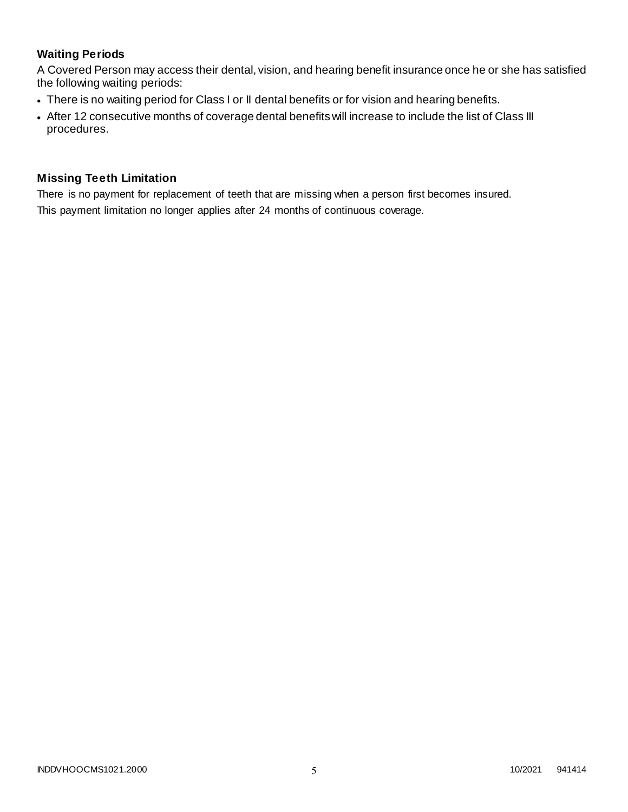# **Waiting Periods**

A Covered Person may access their dental, vision, and hearing benefit insurance once he or she has satisfied the following waiting periods:

- There is no waiting period for Class I or II dental benefits or for vision and hearing benefits.
- After 12 consecutive months of coverage dental benefits will increase to include the list of Class III procedures.

### **Missing Teeth Limitation**

There is no payment for replacement of teeth that are missing when a person first becomes insured. This payment limitation no longer applies after 24 months of continuous coverage.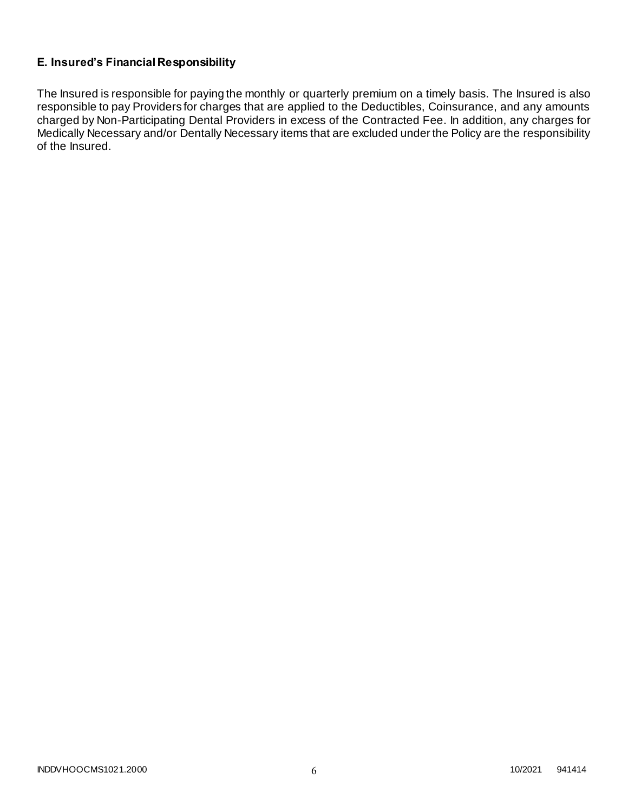# **E. Insured's Financial Responsibility**

The Insured is responsible for paying the monthly or quarterly premium on a timely basis. The Insured is also responsible to pay Providers for charges that are applied to the Deductibles, Coinsurance, and any amounts charged by Non-Participating Dental Providers in excess of the Contracted Fee. In addition, any charges for Medically Necessary and/or Dentally Necessary items that are excluded under the Policy are the responsibility of the Insured.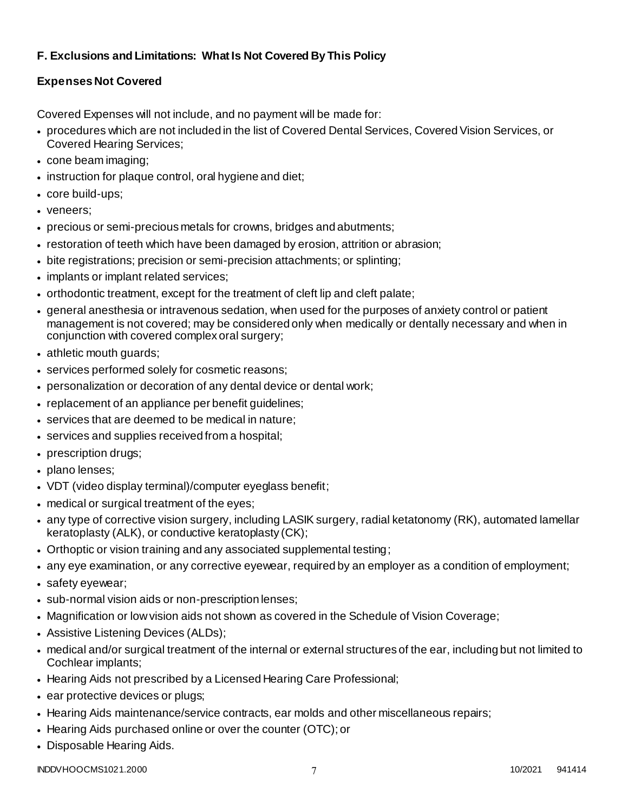# **F. Exclusions and Limitations: What Is Not Covered By This Policy**

# **Expenses Not Covered**

Covered Expenses will not include, and no payment will be made for:

- procedures which are not included in the list of Covered Dental Services, Covered Vision Services, or Covered Hearing Services;
- cone beam imaging;
- instruction for plaque control, oral hygiene and diet;
- core build-ups;
- veneers;
- precious or semi-precious metals for crowns, bridges and abutments;
- restoration of teeth which have been damaged by erosion, attrition or abrasion;
- bite registrations; precision or semi-precision attachments; or splinting;
- implants or implant related services;
- orthodontic treatment, except for the treatment of cleft lip and cleft palate;
- general anesthesia or intravenous sedation, when used for the purposes of anxiety control or patient management is not covered; may be considered only when medically or dentally necessary and when in conjunction with covered complex oral surgery;
- athletic mouth guards;
- services performed solely for cosmetic reasons;
- personalization or decoration of any dental device or dental work;
- replacement of an appliance per benefit guidelines;
- services that are deemed to be medical in nature;
- services and supplies received from a hospital;
- prescription drugs;
- plano lenses:
- VDT (video display terminal)/computer eyeglass benefit;
- medical or surgical treatment of the eyes;
- any type of corrective vision surgery, including LASIK surgery, radial ketatonomy (RK), automated lamellar keratoplasty (ALK), or conductive keratoplasty (CK);
- Orthoptic or vision training and any associated supplemental testing;
- any eye examination, or any corrective eyewear, required by an employer as a condition of employment;
- safety eyewear;
- sub-normal vision aids or non-prescription lenses;
- Magnification or low vision aids not shown as covered in the Schedule of Vision Coverage;
- Assistive Listening Devices (ALDs);
- medical and/or surgical treatment of the internal or external structures of the ear, including but not limited to Cochlear implants;
- Hearing Aids not prescribed by a Licensed Hearing Care Professional;
- ear protective devices or plugs;
- Hearing Aids maintenance/service contracts, ear molds and other miscellaneous repairs;
- Hearing Aids purchased online or over the counter (OTC); or
- Disposable Hearing Aids.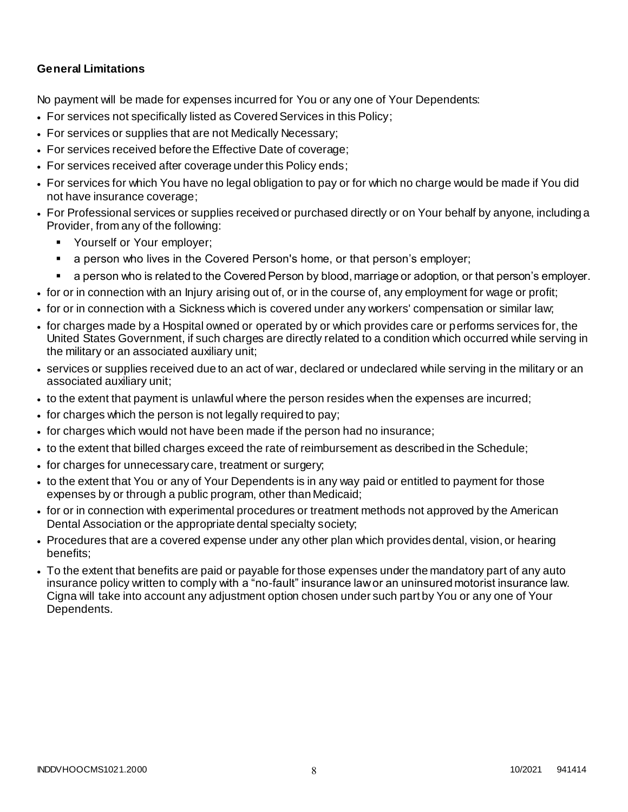### **General Limitations**

No payment will be made for expenses incurred for You or any one of Your Dependents:

- For services not specifically listed as Covered Services in this Policy;
- For services or supplies that are not Medically Necessary;
- For services received before the Effective Date of coverage;
- For services received after coverage under this Policy ends;
- For services for which You have no legal obligation to pay or for which no charge would be made if You did not have insurance coverage;
- For Professional services or supplies received or purchased directly or on Your behalf by anyone, including a Provider, from any of the following:
	- **Yourself or Your employer;**
	- a person who lives in the Covered Person's home, or that person's employer;
	- a person who is related to the Covered Person by blood, marriage or adoption, or that person's employer.
- for or in connection with an Injury arising out of, or in the course of, any employment for wage or profit;
- for or in connection with a Sickness which is covered under any workers' compensation or similar law;
- for charges made by a Hospital owned or operated by or which provides care or performs services for, the United States Government, if such charges are directly related to a condition which occurred while serving in the military or an associated auxiliary unit;
- services or supplies received due to an act of war, declared or undeclared while serving in the military or an associated auxiliary unit;
- to the extent that payment is unlawful where the person resides when the expenses are incurred;
- for charges which the person is not legally required to pay;
- for charges which would not have been made if the person had no insurance;
- to the extent that billed charges exceed the rate of reimbursement as described in the Schedule;
- for charges for unnecessary care, treatment or surgery;
- to the extent that You or any of Your Dependents is in any way paid or entitled to payment for those expenses by or through a public program, other than Medicaid;
- for or in connection with experimental procedures or treatment methods not approved by the American Dental Association or the appropriate dental specialty society;
- Procedures that are a covered expense under any other plan which provides dental, vision, or hearing benefits;
- To the extent that benefits are paid or payable for those expenses under the mandatory part of any auto insurance policy written to comply with a "no-fault" insurance law or an uninsured motorist insurance law. Cigna will take into account any adjustment option chosen under such part by You or any one of Your Dependents.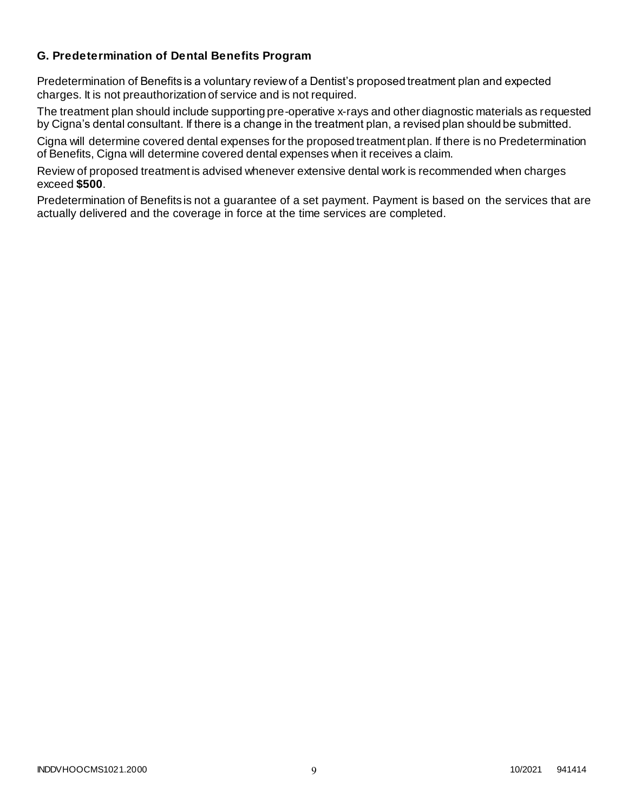### **G. Predetermination of Dental Benefits Program**

Predetermination of Benefits is a voluntary review of a Dentist's proposed treatment plan and expected charges. It is not preauthorization of service and is not required.

The treatment plan should include supporting pre-operative x-rays and other diagnostic materials as requested by Cigna's dental consultant. If there is a change in the treatment plan, a revised plan should be submitted.

Cigna will determine covered dental expenses for the proposed treatment plan. If there is no Predetermination of Benefits, Cigna will determine covered dental expenses when it receives a claim.

Review of proposed treatment is advised whenever extensive dental work is recommended when charges exceed **\$500**.

Predetermination of Benefits is not a guarantee of a set payment. Payment is based on the services that are actually delivered and the coverage in force at the time services are completed.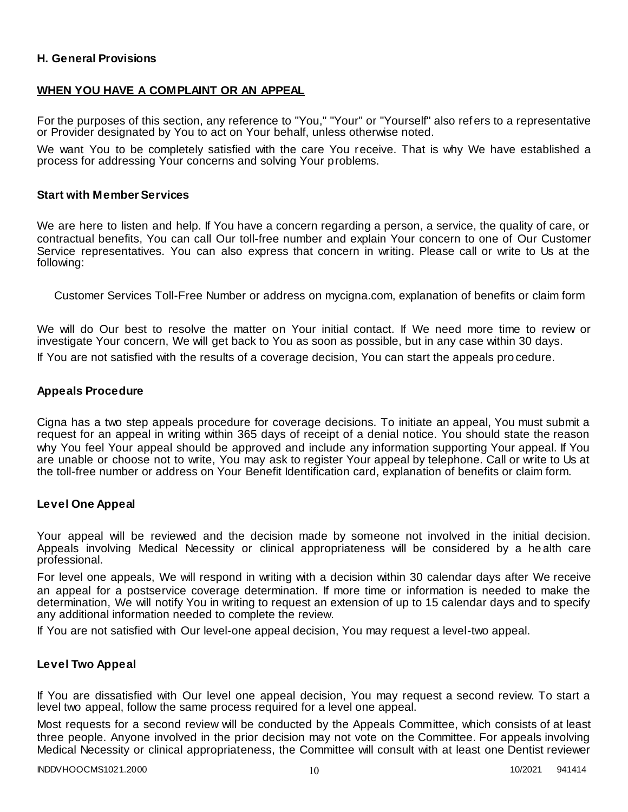### **H. General Provisions**

### **WHEN YOU HAVE A COMPLAINT OR AN APPEAL**

For the purposes of this section, any reference to "You," "Your" or "Yourself" also refers to a representative or Provider designated by You to act on Your behalf, unless otherwise noted.

We want You to be completely satisfied with the care You receive. That is why We have established a process for addressing Your concerns and solving Your problems.

#### **Start with Member Services**

We are here to listen and help. If You have a concern regarding a person, a service, the quality of care, or contractual benefits, You can call Our toll-free number and explain Your concern to one of Our Customer Service representatives. You can also express that concern in writing. Please call or write to Us at the following:

Customer Services Toll-Free Number or address on mycigna.com, explanation of benefits or claim form

We will do Our best to resolve the matter on Your initial contact. If We need more time to review or investigate Your concern, We will get back to You as soon as possible, but in any case within 30 days.

If You are not satisfied with the results of a coverage decision, You can start the appeals pro cedure.

#### **Appeals Procedure**

Cigna has a two step appeals procedure for coverage decisions. To initiate an appeal, You must submit a request for an appeal in writing within 365 days of receipt of a denial notice. You should state the reason why You feel Your appeal should be approved and include any information supporting Your appeal. If You are unable or choose not to write, You may ask to register Your appeal by telephone. Call or write to Us at the toll-free number or address on Your Benefit Identification card, explanation of benefits or claim form.

#### **Level One Appeal**

Your appeal will be reviewed and the decision made by someone not involved in the initial decision. Appeals involving Medical Necessity or clinical appropriateness will be considered by a he alth care professional.

For level one appeals, We will respond in writing with a decision within 30 calendar days after We receive an appeal for a postservice coverage determination. If more time or information is needed to make the determination, We will notify You in writing to request an extension of up to 15 calendar days and to specify any additional information needed to complete the review.

If You are not satisfied with Our level-one appeal decision, You may request a level-two appeal.

#### **Level Two Appeal**

If You are dissatisfied with Our level one appeal decision, You may request a second review. To start a level two appeal, follow the same process required for a level one appeal.

Most requests for a second review will be conducted by the Appeals Committee, which consists of at least three people. Anyone involved in the prior decision may not vote on the Committee. For appeals involving Medical Necessity or clinical appropriateness, the Committee will consult with at least one Dentist reviewer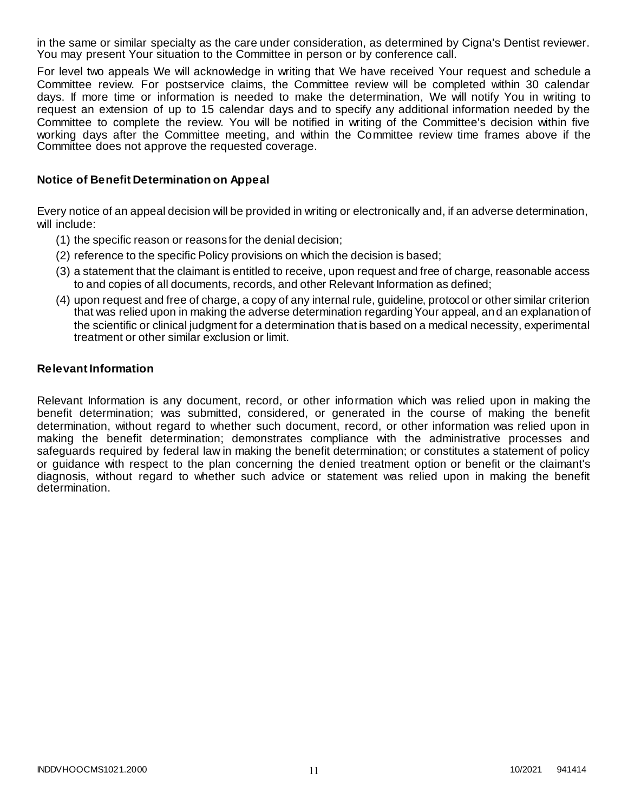in the same or similar specialty as the care under consideration, as determined by Cigna's Dentist reviewer. You may present Your situation to the Committee in person or by conference call.

For level two appeals We will acknowledge in writing that We have received Your request and schedule a Committee review. For postservice claims, the Committee review will be completed within 30 calendar days. If more time or information is needed to make the determination, We will notify You in writing to request an extension of up to 15 calendar days and to specify any additional information needed by the Committee to complete the review. You will be notified in writing of the Committee's decision within five working days after the Committee meeting, and within the Committee review time frames above if the Committee does not approve the requested coverage.

### **Notice of Benefit Determination on Appeal**

Every notice of an appeal decision will be provided in writing or electronically and, if an adverse determination, will include:

- (1) the specific reason or reasons for the denial decision;
- (2) reference to the specific Policy provisions on which the decision is based;
- (3) a statement that the claimant is entitled to receive, upon request and free of charge, reasonable access to and copies of all documents, records, and other Relevant Information as defined;
- (4) upon request and free of charge, a copy of any internal rule, guideline, protocol or other similar criterion that was relied upon in making the adverse determination regarding Your appeal, and an explanation of the scientific or clinical judgment for a determination that is based on a medical necessity, experimental treatment or other similar exclusion or limit.

#### **Relevant Information**

Relevant Information is any document, record, or other information which was relied upon in making the benefit determination; was submitted, considered, or generated in the course of making the benefit determination, without regard to whether such document, record, or other information was relied upon in making the benefit determination; demonstrates compliance with the administrative processes and safeguards required by federal law in making the benefit determination; or constitutes a statement of policy or guidance with respect to the plan concerning the denied treatment option or benefit or the claimant's diagnosis, without regard to whether such advice or statement was relied upon in making the benefit determination.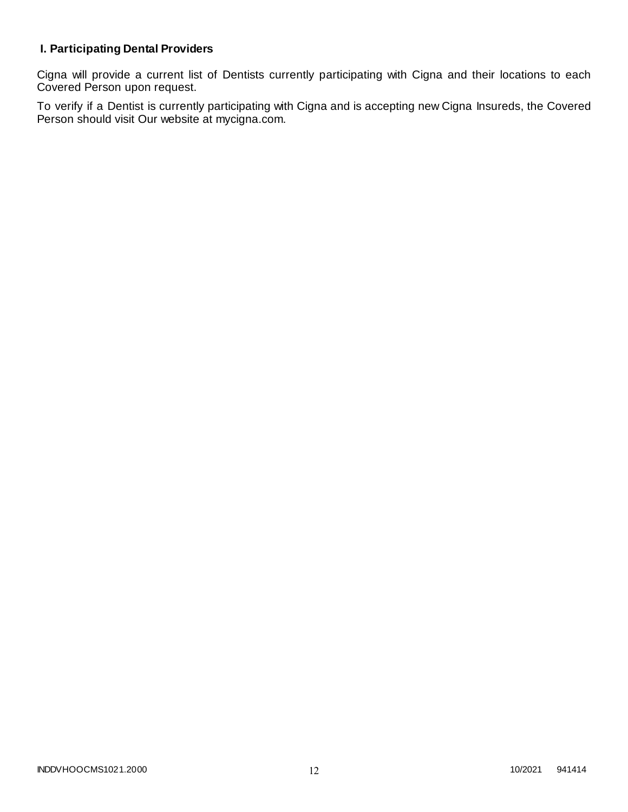# **I. Participating Dental Providers**

Cigna will provide a current list of Dentists currently participating with Cigna and their locations to each Covered Person upon request.

To verify if a Dentist is currently participating with Cigna and is accepting new Cigna Insureds, the Covered Person should visit Our website at mycigna.com.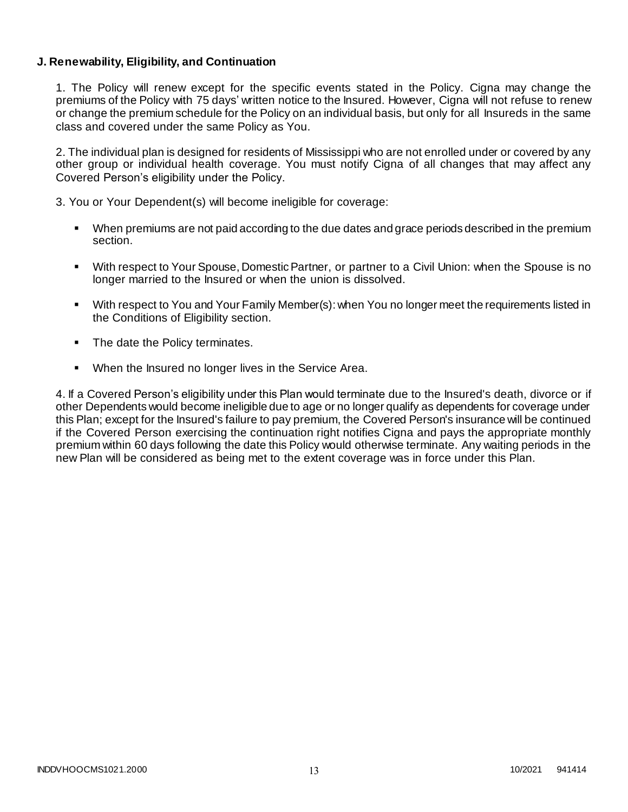### **J. Renewability, Eligibility, and Continuation**

1. The Policy will renew except for the specific events stated in the Policy. Cigna may change the premiums of the Policy with 75 days' written notice to the Insured. However, Cigna will not refuse to renew or change the premium schedule for the Policy on an individual basis, but only for all Insureds in the same class and covered under the same Policy as You.

2. The individual plan is designed for residents of Mississippi who are not enrolled under or covered by any other group or individual health coverage. You must notify Cigna of all changes that may affect any Covered Person's eligibility under the Policy.

3. You or Your Dependent(s) will become ineligible for coverage:

- When premiums are not paid according to the due dates and grace periods described in the premium section.
- With respect to Your Spouse, Domestic Partner, or partner to a Civil Union: when the Spouse is no longer married to the Insured or when the union is dissolved.
- With respect to You and Your Family Member(s): when You no longer meet the requirements listed in the Conditions of Eligibility section.
- The date the Policy terminates.
- When the Insured no longer lives in the Service Area.

4. If a Covered Person's eligibility under this Plan would terminate due to the Insured's death, divorce or if other Dependents would become ineligible due to age or no longer qualify as dependents for coverage under this Plan; except for the Insured's failure to pay premium, the Covered Person's insurance will be continued if the Covered Person exercising the continuation right notifies Cigna and pays the appropriate monthly premium within 60 days following the date this Policy would otherwise terminate. Any waiting periods in the new Plan will be considered as being met to the extent coverage was in force under this Plan.